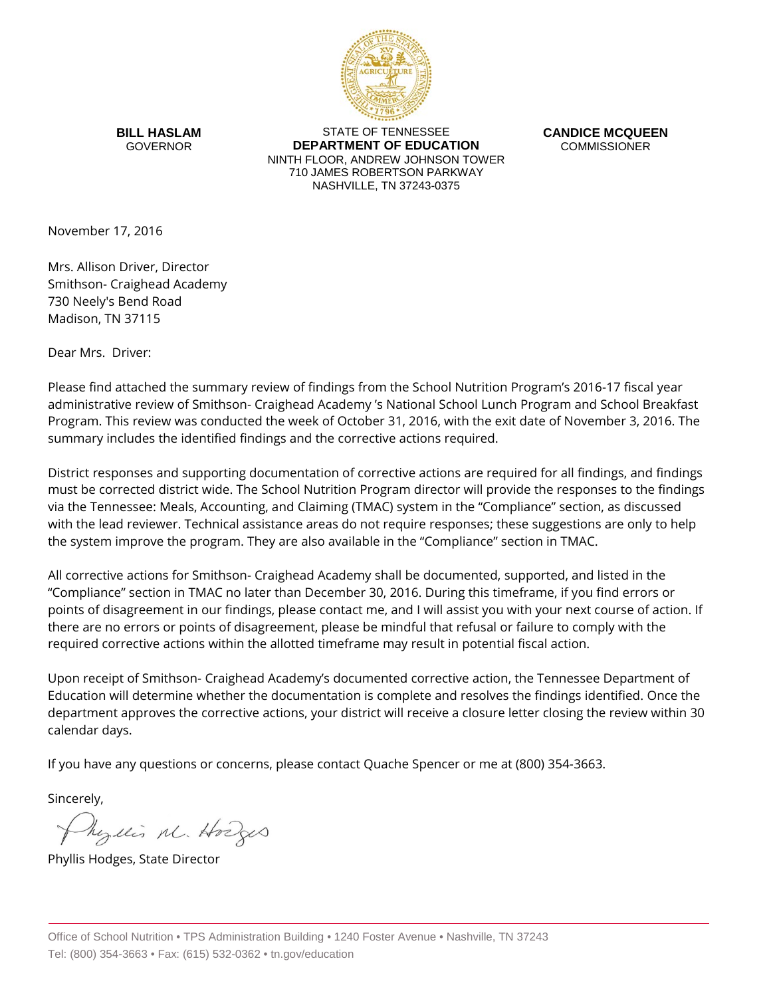

**BILL HASLAM** GOVERNOR

STATE OF TENNESSEE **DEPARTMENT OF EDUCATION** NINTH FLOOR, ANDREW JOHNSON TOWER 710 JAMES ROBERTSON PARKWAY NASHVILLE, TN 37243-0375

**CANDICE MCQUEEN** COMMISSIONER

November 17, 2016

Mrs. Allison Driver, Director Smithson- Craighead Academy 730 Neely's Bend Road Madison, TN 37115

Dear Mrs. Driver:

Please find attached the summary review of findings from the School Nutrition Program's 2016-17 fiscal year administrative review of Smithson- Craighead Academy 's National School Lunch Program and School Breakfast Program. This review was conducted the week of October 31, 2016, with the exit date of November 3, 2016. The summary includes the identified findings and the corrective actions required.

District responses and supporting documentation of corrective actions are required for all findings, and findings must be corrected district wide. The School Nutrition Program director will provide the responses to the findings via the Tennessee: Meals, Accounting, and Claiming (TMAC) system in the "Compliance" section, as discussed with the lead reviewer. Technical assistance areas do not require responses; these suggestions are only to help the system improve the program. They are also available in the "Compliance" section in TMAC.

All corrective actions for Smithson- Craighead Academy shall be documented, supported, and listed in the "Compliance" section in TMAC no later than December 30, 2016. During this timeframe, if you find errors or points of disagreement in our findings, please contact me, and I will assist you with your next course of action. If there are no errors or points of disagreement, please be mindful that refusal or failure to comply with the required corrective actions within the allotted timeframe may result in potential fiscal action.

Upon receipt of Smithson- Craighead Academy's documented corrective action, the Tennessee Department of Education will determine whether the documentation is complete and resolves the findings identified. Once the department approves the corrective actions, your district will receive a closure letter closing the review within 30 calendar days.

If you have any questions or concerns, please contact Quache Spencer or me at (800) 354-3663.

Sincerely,

Myllis M. Hodges

Phyllis Hodges, State Director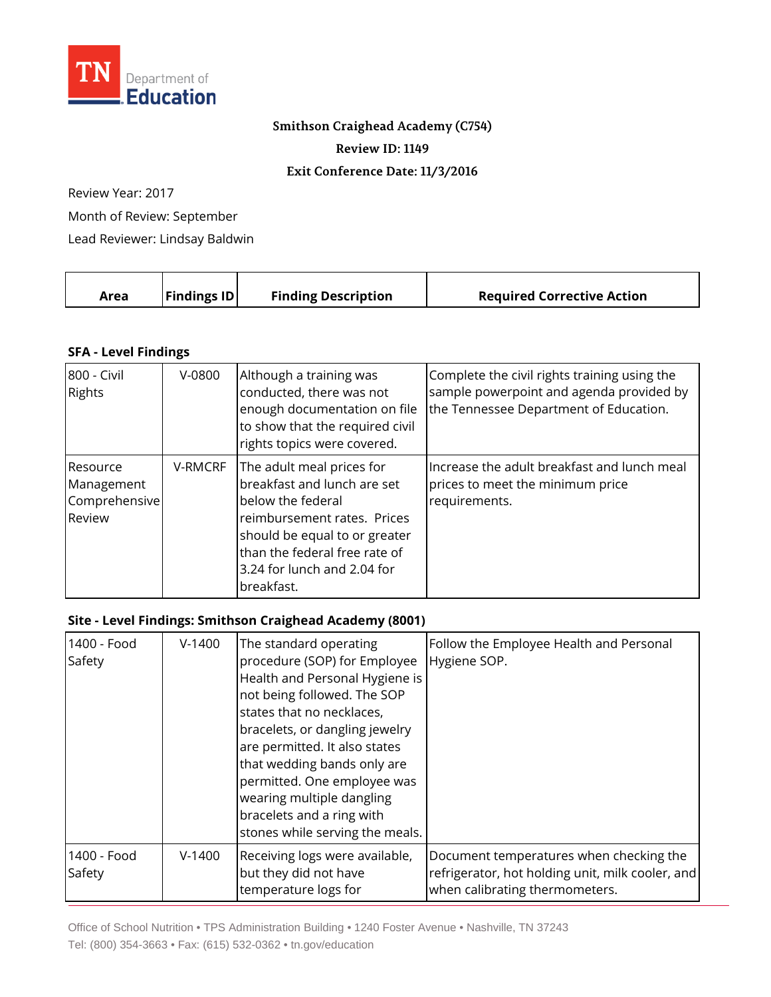

## **Smithson Craighead Academy (C754)**

**Review ID: 1149**

## **Exit Conference Date: 11/3/2016**

Review Year: 2017

Month of Review: September

Lead Reviewer: Lindsay Baldwin

|  | Area | <b>Findings ID</b> | <b>Finding Description</b> | <b>Required Corrective Action</b> |
|--|------|--------------------|----------------------------|-----------------------------------|
|--|------|--------------------|----------------------------|-----------------------------------|

## **SFA - Level Findings**

| 800 - Civil<br><b>Rights</b>                      | $V-0800$       | Although a training was<br>conducted, there was not<br>enough documentation on file<br>to show that the required civil<br>rights topics were covered.                                                                       | Complete the civil rights training using the<br>sample powerpoint and agenda provided by<br>the Tennessee Department of Education. |
|---------------------------------------------------|----------------|-----------------------------------------------------------------------------------------------------------------------------------------------------------------------------------------------------------------------------|------------------------------------------------------------------------------------------------------------------------------------|
| Resource<br>Management<br>Comprehensive<br>Review | <b>V-RMCRF</b> | The adult meal prices for<br>breakfast and lunch are set<br>below the federal<br>reimbursement rates. Prices<br>should be equal to or greater<br>than the federal free rate of<br>3.24 for lunch and 2.04 for<br>breakfast. | Increase the adult breakfast and lunch meal<br>prices to meet the minimum price<br>requirements.                                   |

## **Site - Level Findings: Smithson Craighead Academy (8001)**

| 1400 - Food<br>Safety | $V-1400$ | The standard operating<br>procedure (SOP) for Employee<br>Health and Personal Hygiene is<br>not being followed. The SOP<br>states that no necklaces,<br>bracelets, or dangling jewelry<br>are permitted. It also states<br>that wedding bands only are<br>permitted. One employee was<br>wearing multiple dangling<br>bracelets and a ring with<br>stones while serving the meals. | Follow the Employee Health and Personal<br>Hygiene SOP.                                                                       |
|-----------------------|----------|------------------------------------------------------------------------------------------------------------------------------------------------------------------------------------------------------------------------------------------------------------------------------------------------------------------------------------------------------------------------------------|-------------------------------------------------------------------------------------------------------------------------------|
| 1400 - Food<br>Safety | $V-1400$ | Receiving logs were available,<br>but they did not have<br>temperature logs for                                                                                                                                                                                                                                                                                                    | Document temperatures when checking the<br>refrigerator, hot holding unit, milk cooler, and<br>when calibrating thermometers. |